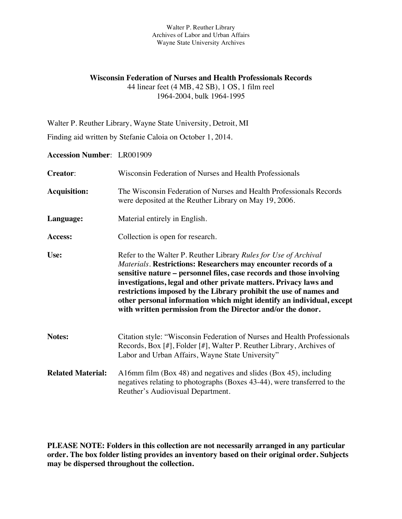# **Wisconsin Federation of Nurses and Health Professionals Records** 44 linear feet (4 MB, 42 SB), 1 OS, 1 film reel

1964-2004, bulk 1964-1995

Walter P. Reuther Library, Wayne State University, Detroit, MI

Finding aid written by Stefanie Caloia on October 1, 2014.

**Accession Number**: LR001909

| <b>Creator:</b>          | Wisconsin Federation of Nurses and Health Professionals                                                                                                                                                                                                                                                                                                                                                                                                                                       |
|--------------------------|-----------------------------------------------------------------------------------------------------------------------------------------------------------------------------------------------------------------------------------------------------------------------------------------------------------------------------------------------------------------------------------------------------------------------------------------------------------------------------------------------|
| <b>Acquisition:</b>      | The Wisconsin Federation of Nurses and Health Professionals Records<br>were deposited at the Reuther Library on May 19, 2006.                                                                                                                                                                                                                                                                                                                                                                 |
| Language:                | Material entirely in English.                                                                                                                                                                                                                                                                                                                                                                                                                                                                 |
| Access:                  | Collection is open for research.                                                                                                                                                                                                                                                                                                                                                                                                                                                              |
| Use:                     | Refer to the Walter P. Reuther Library Rules for Use of Archival<br>Materials. Restrictions: Researchers may encounter records of a<br>sensitive nature – personnel files, case records and those involving<br>investigations, legal and other private matters. Privacy laws and<br>restrictions imposed by the Library prohibit the use of names and<br>other personal information which might identify an individual, except<br>with written permission from the Director and/or the donor. |
| Notes:                   | Citation style: "Wisconsin Federation of Nurses and Health Professionals<br>Records, Box [#], Folder [#], Walter P. Reuther Library, Archives of<br>Labor and Urban Affairs, Wayne State University"                                                                                                                                                                                                                                                                                          |
| <b>Related Material:</b> | A16mm film (Box 48) and negatives and slides (Box 45), including<br>negatives relating to photographs (Boxes 43-44), were transferred to the<br>Reuther's Audiovisual Department.                                                                                                                                                                                                                                                                                                             |

**PLEASE NOTE: Folders in this collection are not necessarily arranged in any particular order. The box folder listing provides an inventory based on their original order. Subjects may be dispersed throughout the collection.**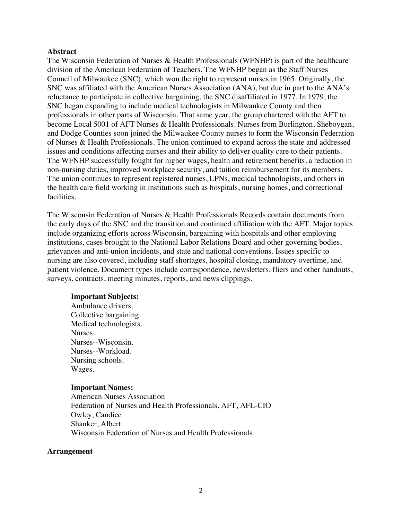#### **Abstract**

The Wisconsin Federation of Nurses & Health Professionals (WFNHP) is part of the healthcare division of the American Federation of Teachers. The WFNHP began as the Staff Nurses Council of Milwaukee (SNC), which won the right to represent nurses in 1965. Originally, the SNC was affiliated with the American Nurses Association (ANA), but due in part to the ANA's reluctance to participate in collective bargaining, the SNC disaffiliated in 1977. In 1979, the SNC began expanding to include medical technologists in Milwaukee County and then professionals in other parts of Wisconsin. That same year, the group chartered with the AFT to become Local 5001 of AFT Nurses & Health Professionals. Nurses from Burlington, Sheboygan, and Dodge Counties soon joined the Milwaukee County nurses to form the Wisconsin Federation of Nurses & Health Professionals. The union continued to expand across the state and addressed issues and conditions affecting nurses and their ability to deliver quality care to their patients. The WFNHP successfully fought for higher wages, health and retirement benefits, a reduction in non-nursing duties, improved workplace security, and tuition reimbursement for its members. The union continues to represent registered nurses, LPNs, medical technologists, and others in the health care field working in institutions such as hospitals, nursing homes, and correctional facilities.

The Wisconsin Federation of Nurses & Health Professionals Records contain documents from the early days of the SNC and the transition and continued affiliation with the AFT. Major topics include organizing efforts across Wisconsin, bargaining with hospitals and other employing institutions, cases brought to the National Labor Relations Board and other governing bodies, grievances and anti-union incidents, and state and national conventions. Issues specific to nursing are also covered, including staff shortages, hospital closing, mandatory overtime, and patient violence. Document types include correspondence, newsletters, fliers and other handouts, surveys, contracts, meeting minutes, reports, and news clippings.

#### **Important Subjects:**

Ambulance drivers. Collective bargaining. Medical technologists. Nurses. Nurses--Wisconsin. Nurses--Workload. Nursing schools. Wages.

#### **Important Names:**

American Nurses Association Federation of Nurses and Health Professionals, AFT, AFL-CIO Owley, Candice Shanker, Albert Wisconsin Federation of Nurses and Health Professionals

#### **Arrangement**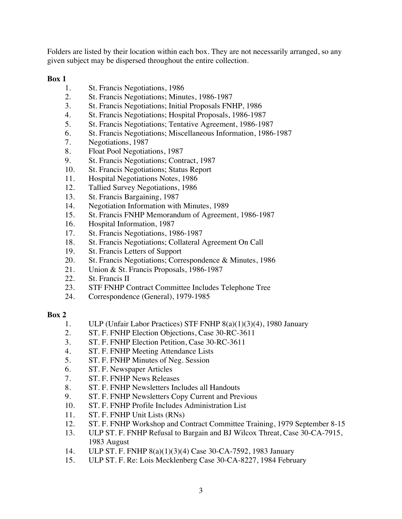Folders are listed by their location within each box. They are not necessarily arranged, so any given subject may be dispersed throughout the entire collection.

## **Box 1**

- 1. St. Francis Negotiations, 1986
- 2. St. Francis Negotiations; Minutes, 1986-1987
- 3. St. Francis Negotiations; Initial Proposals FNHP, 1986
- 4. St. Francis Negotiations; Hospital Proposals, 1986-1987
- 5. St. Francis Negotiations; Tentative Agreement, 1986-1987
- 6. St. Francis Negotiations; Miscellaneous Information, 1986-1987
- 7. Negotiations, 1987
- 8. Float Pool Negotiations, 1987
- 9. St. Francis Negotiations; Contract, 1987
- 10. St. Francis Negotiations; Status Report
- 11. Hospital Negotiations Notes, 1986
- 12. Tallied Survey Negotiations, 1986
- 13. St. Francis Bargaining, 1987
- 14. Negotiation Information with Minutes, 1989
- 15. St. Francis FNHP Memorandum of Agreement, 1986-1987
- 16. Hospital Information, 1987
- 17. St. Francis Negotiations, 1986-1987
- 18. St. Francis Negotiations; Collateral Agreement On Call
- 19. St. Francis Letters of Support
- 20. St. Francis Negotiations; Correspondence & Minutes, 1986
- 21. Union & St. Francis Proposals, 1986-1987
- 22. St. Francis II
- 23. STF FNHP Contract Committee Includes Telephone Tree
- 24. Correspondence (General), 1979-1985

- 1. ULP (Unfair Labor Practices) STF FNHP 8(a)(1)(3)(4), 1980 January
- 2. ST. F. FNHP Election Objections, Case 30-RC-3611
- 3. ST. F. FNHP Election Petition, Case 30-RC-3611
- 4. ST. F. FNHP Meeting Attendance Lists
- 5. ST. F. FNHP Minutes of Neg. Session
- 6. ST. F. Newspaper Articles
- 7. ST. F. FNHP News Releases
- 8. ST. F. FNHP Newsletters Includes all Handouts
- 9. ST. F. FNHP Newsletters Copy Current and Previous
- 10. ST. F. FNHP Profile Includes Administration List
- 11. ST. F. FNHP Unit Lists (RNs)
- 12. ST. F. FNHP Workshop and Contract Committee Training, 1979 September 8-15
- 13. ULP ST. F. FNHP Refusal to Bargain and BJ Wilcox Threat, Case 30-CA-7915, 1983 August
- 14. ULP ST. F. FNHP 8(a)(1)(3)(4) Case 30-CA-7592, 1983 January
- 15. ULP ST. F. Re: Lois Mecklenberg Case 30-CA-8227, 1984 February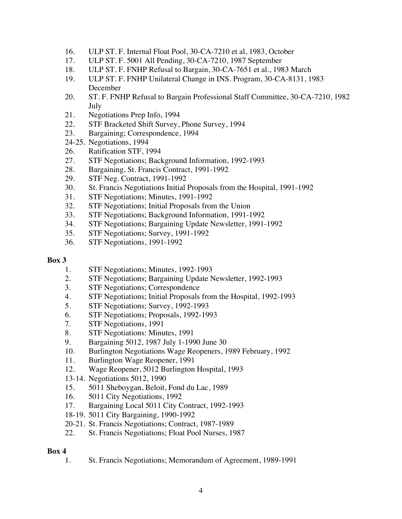- 16. ULP ST. F. Internal Float Pool, 30-CA-7210 et al, 1983, October
- 17. ULP ST. F. 5001 All Pending, 30-CA-7210, 1987 September
- 18. ULP ST. F. FNHP Refusal to Bargain, 30-CA-7651 et al., 1983 March
- 19. ULP ST. F. FNHP Unilateral Change in INS. Program, 30-CA-8131, 1983 December
- 20. ST. F. FNHP Refusal to Bargain Professional Staff Committee, 30-CA-7210, 1982 July
- 21. Negotiations Prep Info, 1994
- 22. STF Bracketed Shift Survey, Phone Survey, 1994
- 23. Bargaining; Correspondence, 1994
- 24-25. Negotiations, 1994
- 26. Ratification STF, 1994
- 27. STF Negotiations; Background Information, 1992-1993
- 28. Bargaining, St. Francis Contract, 1991-1992
- 29. STF Neg. Contract, 1991-1992
- 30. St. Francis Negotiations Initial Proposals from the Hospital, 1991-1992
- 31. STF Negotiations; Minutes, 1991-1992
- 32. STF Negotiations; Initial Proposals from the Union
- 33. STF Negotiations; Background Information, 1991-1992
- 34. STF Negotiations; Bargaining Update Newsletter, 1991-1992
- 35. STF Negotiations; Survey, 1991-1992
- 36. STF Negotiations, 1991-1992

- 1. STF Negotiations; Minutes, 1992-1993
- 2. STF Negotiations; Bargaining Update Newsletter, 1992-1993
- 3. STF Negotiations; Correspondence
- 4. STF Negotiations; Initial Proposals from the Hospital, 1992-1993
- 5. STF Negotiations; Survey, 1992-1993
- 6. STF Negotiations; Proposals, 1992-1993
- 7. STF Negotiations, 1991
- 8. STF Negotiations: Minutes, 1991
- 9. Bargaining 5012, 1987 July 1-1990 June 30
- 10. Burlington Negotiations Wage Reopeners, 1989 February, 1992
- 11. Burlington Wage Reopener, 1991
- 12. Wage Reopener, 5012 Burlington Hospital, 1993
- 13-14. Negotiations 5012, 1990
- 15. 5011 Sheboygan, Beloit, Fond du Lac, 1989
- 16. 5011 City Negotiations, 1992
- 17. Bargaining Local 5011 City Contract, 1992-1993
- 18-19. 5011 City Bargaining, 1990-1992
- 20-21. St. Francis Negotiations; Contract, 1987-1989
- 22. St. Francis Negotiations; Float Pool Nurses, 1987

## **Box 4**

1. St. Francis Negotiations; Memorandum of Agreement, 1989-1991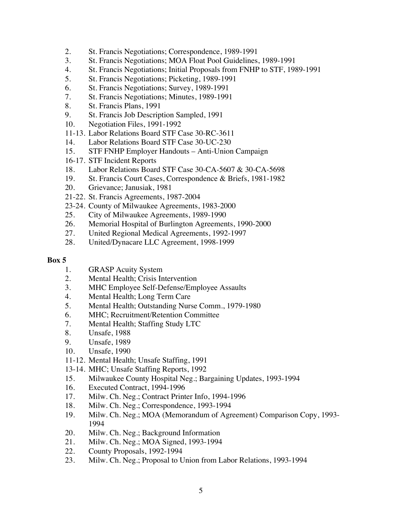- 2. St. Francis Negotiations; Correspondence, 1989-1991
- 3. St. Francis Negotiations; MOA Float Pool Guidelines, 1989-1991
- 4. St. Francis Negotiations; Initial Proposals from FNHP to STF, 1989-1991
- 5. St. Francis Negotiations; Picketing, 1989-1991
- 6. St. Francis Negotiations; Survey, 1989-1991
- 7. St. Francis Negotiations; Minutes, 1989-1991
- 8. St. Francis Plans, 1991
- 9. St. Francis Job Description Sampled, 1991
- 10. Negotiation Files, 1991-1992
- 11-13. Labor Relations Board STF Case 30-RC-3611
- 14. Labor Relations Board STF Case 30-UC-230
- 15. STF FNHP Employer Handouts Anti-Union Campaign
- 16-17. STF Incident Reports
- 18. Labor Relations Board STF Case 30-CA-5607 & 30-CA-5698
- 19. St. Francis Court Cases, Correspondence & Briefs, 1981-1982
- 20. Grievance; Janusiak, 1981
- 21-22. St. Francis Agreements, 1987-2004
- 23-24. County of Milwaukee Agreements, 1983-2000
- 25. City of Milwaukee Agreements, 1989-1990
- 26. Memorial Hospital of Burlington Agreements, 1990-2000
- 27. United Regional Medical Agreements, 1992-1997
- 28. United/Dynacare LLC Agreement, 1998-1999

- 1. GRASP Acuity System
- 2. Mental Health; Crisis Intervention
- 3. MHC Employee Self-Defense/Employee Assaults
- 4. Mental Health; Long Term Care
- 5. Mental Health; Outstanding Nurse Comm., 1979-1980
- 6. MHC; Recruitment/Retention Committee
- 7. Mental Health; Staffing Study LTC
- 8. Unsafe, 1988
- 9. Unsafe, 1989
- 10. Unsafe, 1990
- 11-12. Mental Health; Unsafe Staffing, 1991
- 13-14. MHC; Unsafe Staffing Reports, 1992
- 15. Milwaukee County Hospital Neg.; Bargaining Updates, 1993-1994
- 16. Executed Contract, 1994-1996
- 17. Milw. Ch. Neg.; Contract Printer Info, 1994-1996
- 18. Milw. Ch. Neg.; Correspondence, 1993-1994
- 19. Milw. Ch. Neg.; MOA (Memorandum of Agreement) Comparison Copy, 1993- 1994
- 20. Milw. Ch. Neg.; Background Information
- 21. Milw. Ch. Neg.; MOA Signed, 1993-1994
- 22. County Proposals, 1992-1994
- 23. Milw. Ch. Neg.; Proposal to Union from Labor Relations, 1993-1994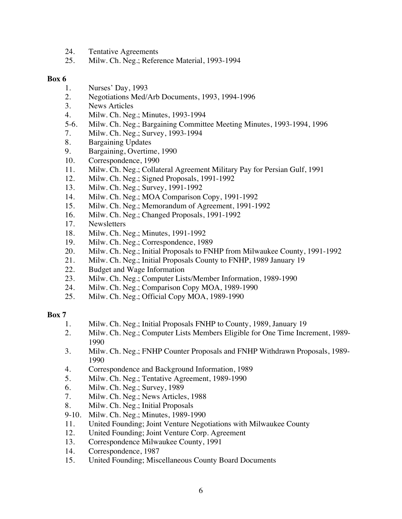- 24. Tentative Agreements
- 25. Milw. Ch. Neg.; Reference Material, 1993-1994

- 1. Nurses' Day, 1993
- 2. Negotiations Med/Arb Documents, 1993, 1994-1996
- 3. News Articles
- 4. Milw. Ch. Neg.; Minutes, 1993-1994
- 5-6. Milw. Ch. Neg.; Bargaining Committee Meeting Minutes, 1993-1994, 1996
- 7. Milw. Ch. Neg.; Survey, 1993-1994
- 8. Bargaining Updates
- 9. Bargaining, Overtime, 1990
- 10. Correspondence, 1990
- 11. Milw. Ch. Neg.; Collateral Agreement Military Pay for Persian Gulf, 1991
- 12. Milw. Ch. Neg.; Signed Proposals, 1991-1992
- 13. Milw. Ch. Neg.; Survey, 1991-1992
- 14. Milw. Ch. Neg.; MOA Comparison Copy, 1991-1992
- 15. Milw. Ch. Neg.; Memorandum of Agreement, 1991-1992
- 16. Milw. Ch. Neg.; Changed Proposals, 1991-1992
- 17. Newsletters
- 18. Milw. Ch. Neg.; Minutes, 1991-1992
- 19. Milw. Ch. Neg.; Correspondence, 1989<br>20. Milw. Ch. Neg.: Initial Proposals to FN.
- Milw. Ch. Neg.; Initial Proposals to FNHP from Milwaukee County, 1991-1992
- 21. Milw. Ch. Neg.; Initial Proposals County to FNHP, 1989 January 19
- 22. Budget and Wage Information
- 23. Milw. Ch. Neg.; Computer Lists/Member Information, 1989-1990
- 24. Milw. Ch. Neg.; Comparison Copy MOA, 1989-1990
- 25. Milw. Ch. Neg.; Official Copy MOA, 1989-1990

- 1. Milw. Ch. Neg.; Initial Proposals FNHP to County, 1989, January 19
- 2. Milw. Ch. Neg.; Computer Lists Members Eligible for One Time Increment, 1989- 1990
- 3. Milw. Ch. Neg.; FNHP Counter Proposals and FNHP Withdrawn Proposals, 1989- 1990
- 4. Correspondence and Background Information, 1989
- 5. Milw. Ch. Neg.; Tentative Agreement, 1989-1990
- 6. Milw. Ch. Neg.; Survey, 1989
- 7. Milw. Ch. Neg.; News Articles, 1988
- 8. Milw. Ch. Neg.; Initial Proposals
- 9-10. Milw. Ch. Neg.; Minutes, 1989-1990
- 11. United Founding; Joint Venture Negotiations with Milwaukee County
- 12. United Founding; Joint Venture Corp. Agreement
- 13. Correspondence Milwaukee County, 1991
- 14. Correspondence, 1987
- 15. United Founding; Miscellaneous County Board Documents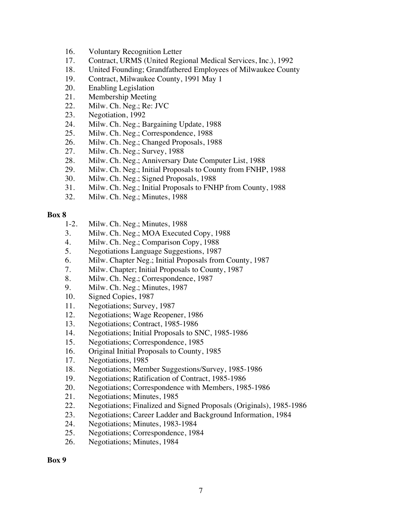- 16. Voluntary Recognition Letter
- 17. Contract, URMS (United Regional Medical Services, Inc.), 1992
- 18. United Founding; Grandfathered Employees of Milwaukee County
- 19. Contract, Milwaukee County, 1991 May 1
- 20. Enabling Legislation
- 21. Membership Meeting
- 22. Milw. Ch. Neg.; Re: JVC
- 23. Negotiation, 1992
- 24. Milw. Ch. Neg.; Bargaining Update, 1988
- 25. Milw. Ch. Neg.; Correspondence, 1988
- 26. Milw. Ch. Neg.; Changed Proposals, 1988
- 27. Milw. Ch. Neg.; Survey, 1988
- 28. Milw. Ch. Neg.; Anniversary Date Computer List, 1988
- 29. Milw. Ch. Neg.; Initial Proposals to County from FNHP, 1988
- 30. Milw. Ch. Neg.; Signed Proposals, 1988
- 31. Milw. Ch. Neg.; Initial Proposals to FNHP from County, 1988
- 32. Milw. Ch. Neg.; Minutes, 1988

- 1-2. Milw. Ch. Neg.; Minutes, 1988
- 3. Milw. Ch. Neg.; MOA Executed Copy, 1988
- 4. Milw. Ch. Neg.; Comparison Copy, 1988
- 5. Negotiations Language Suggestions, 1987
- 6. Milw. Chapter Neg.; Initial Proposals from County, 1987
- 7. Milw. Chapter; Initial Proposals to County, 1987
- 8. Milw. Ch. Neg.; Correspondence, 1987
- 9. Milw. Ch. Neg.; Minutes, 1987
- 10. Signed Copies, 1987
- 11. Negotiations; Survey, 1987
- 12. Negotiations; Wage Reopener, 1986
- 13. Negotiations; Contract, 1985-1986
- 14. Negotiations; Initial Proposals to SNC, 1985-1986
- 15. Negotiations; Correspondence, 1985
- 16. Original Initial Proposals to County, 1985
- 17. Negotiations, 1985
- 18. Negotiations; Member Suggestions/Survey, 1985-1986
- 19. Negotiations; Ratification of Contract, 1985-1986
- 20. Negotiations; Correspondence with Members, 1985-1986
- 21. Negotiations; Minutes, 1985
- 22. Negotiations; Finalized and Signed Proposals (Originals), 1985-1986
- 23. Negotiations; Career Ladder and Background Information, 1984
- 24. Negotiations; Minutes, 1983-1984
- 25. Negotiations; Correspondence, 1984
- 26. Negotiations; Minutes, 1984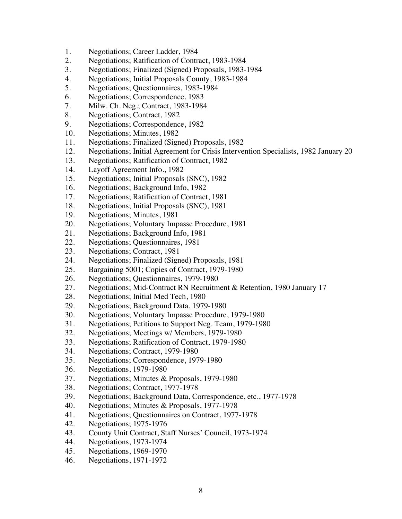- 1. Negotiations; Career Ladder, 1984
- 2. Negotiations; Ratification of Contract, 1983-1984
- 3. Negotiations; Finalized (Signed) Proposals, 1983-1984
- 4. Negotiations; Initial Proposals County, 1983-1984
- 5. Negotiations; Questionnaires, 1983-1984
- 6. Negotiations; Correspondence, 1983
- 7. Milw. Ch. Neg.; Contract, 1983-1984
- 8. Negotiations; Contract, 1982
- 9. Negotiations; Correspondence, 1982
- 10. Negotiations; Minutes, 1982
- 11. Negotiations; Finalized (Signed) Proposals, 1982
- 12. Negotiations; Initial Agreement for Crisis Intervention Specialists, 1982 January 20
- 13. Negotiations; Ratification of Contract, 1982
- 14. Layoff Agreement Info., 1982
- 15. Negotiations; Initial Proposals (SNC), 1982
- 16. Negotiations; Background Info, 1982
- 17. Negotiations; Ratification of Contract, 1981
- 18. Negotiations; Initial Proposals (SNC), 1981
- 19. Negotiations; Minutes, 1981
- 20. Negotiations; Voluntary Impasse Procedure, 1981
- 21. Negotiations; Background Info, 1981
- 22. Negotiations; Questionnaires, 1981
- 23. Negotiations; Contract, 1981
- 24. Negotiations; Finalized (Signed) Proposals, 1981
- 25. Bargaining 5001; Copies of Contract, 1979-1980
- 26. Negotiations; Questionnaires, 1979-1980
- 27. Negotiations; Mid-Contract RN Recruitment & Retention, 1980 January 17
- 28. Negotiations; Initial Med Tech, 1980
- 29. Negotiations; Background Data, 1979-1980
- 30. Negotiations; Voluntary Impasse Procedure, 1979-1980
- 31. Negotiations; Petitions to Support Neg. Team, 1979-1980
- 32. Negotiations; Meetings w/ Members, 1979-1980
- 33. Negotiations; Ratification of Contract, 1979-1980
- 34. Negotiations; Contract, 1979-1980
- 35. Negotiations; Correspondence, 1979-1980
- 36. Negotiations, 1979-1980
- 37. Negotiations; Minutes & Proposals, 1979-1980
- 38. Negotiations; Contract, 1977-1978
- 39. Negotiations; Background Data, Correspondence, etc., 1977-1978
- 40. Negotiations; Minutes & Proposals, 1977-1978
- 41. Negotiations; Questionnaires on Contract, 1977-1978
- 42. Negotiations; 1975-1976
- 43. County Unit Contract, Staff Nurses' Council, 1973-1974
- 44. Negotiations, 1973-1974
- 45. Negotiations, 1969-1970
- 46. Negotiations, 1971-1972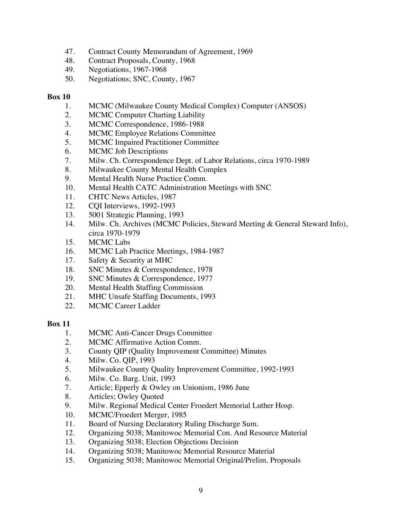- 47. Contract County Memorandum of Agreement, 1969
- 48. Contract Proposals, County, 1968
- 49. Negotiations, 1967-1968
- 50. Negotiations; SNC, County, 1967

- 1. MCMC (Milwaukee County Medical Complex) Computer (ANSOS)
- 2. MCMC Computer Charting Liability
- 3. MCMC Correspondence, 1986-1988
- 4. MCMC Employee Relations Committee
- 5. MCMC Impaired Practitioner Committee
- 6. MCMC Job Descriptions
- 7. Milw. Ch. Correspondence Dept. of Labor Relations, circa 1970-1989
- 8. Milwaukee County Mental Health Complex
- 9. Mental Health Nurse Practice Comm.
- 10. Mental Health CATC Administration Meetings with SNC
- 11. CHTC News Articles, 1987
- 12. CQI Interviews, 1992-1993
- 13. 5001 Strategic Planning, 1993
- 14. Milw. Ch. Archives (MCMC Policies, Steward Meeting & General Steward Info), circa 1970-1979
- 15. MCMC Labs
- 16. MCMC Lab Practice Meetings, 1984-1987
- 17. Safety & Security at MHC
- 18. SNC Minutes & Correspondence, 1978
- 19. SNC Minutes & Correspondence, 1977
- 20. Mental Health Staffing Commission
- 21. MHC Unsafe Staffing Documents, 1993
- 22. MCMC Career Ladder

- 1. MCMC Anti-Cancer Drugs Committee
- 2. MCMC Affirmative Action Comm.
- 3. County QIP (Quality Improvement Committee) Minutes
- 4. Milw. Co. QIP, 1993
- 5. Milwaukee County Quality Improvement Committee, 1992-1993
- 6. Milw. Co. Barg. Unit, 1993
- 7. Article; Epperly & Owley on Unionism, 1986 June
- 8. Articles; Owley Quoted
- 9. Milw. Regional Medical Center Froedert Memorial Luther Hosp.
- 10. MCMC/Froedert Merger, 1985
- 11. Board of Nursing Declaratory Ruling Discharge Sum.
- 12. Organizing 5038; Manitowoc Memorial Con. And Resource Material
- 13. Organizing 5038; Election Objections Decision
- 14. Organizing 5038; Manitowoc Memorial Resource Material
- 15. Organizing 5038; Manitowoc Memorial Original/Prelim. Proposals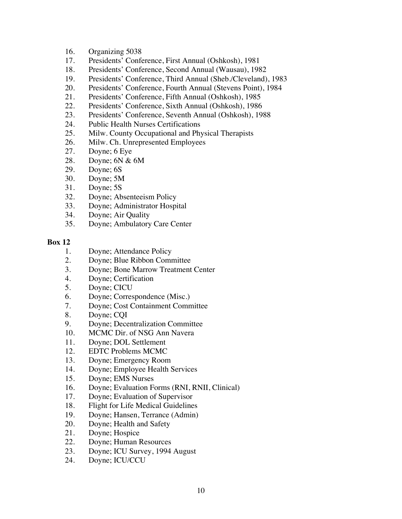- 16. Organizing 5038
- 17. Presidents' Conference, First Annual (Oshkosh), 1981
- 18. Presidents' Conference, Second Annual (Wausau), 1982
- 19. Presidents' Conference, Third Annual (Sheb./Cleveland), 1983
- 20. Presidents' Conference, Fourth Annual (Stevens Point), 1984
- 21. Presidents' Conference, Fifth Annual (Oshkosh), 1985
- 22. Presidents' Conference, Sixth Annual (Oshkosh), 1986
- 23. Presidents' Conference, Seventh Annual (Oshkosh), 1988
- 24. Public Health Nurses Certifications
- 25. Milw. County Occupational and Physical Therapists
- 26. Milw. Ch. Unrepresented Employees
- 27. Doyne; 6 Eye
- 28. Doyne; 6N & 6M
- 29. Doyne; 6S
- 30. Doyne; 5M
- 31. Doyne; 5S
- 32. Doyne; Absenteeism Policy
- 33. Doyne; Administrator Hospital
- 34. Doyne; Air Quality
- 35. Doyne; Ambulatory Care Center

- 1. Doyne; Attendance Policy
- 2. Doyne; Blue Ribbon Committee
- 3. Doyne; Bone Marrow Treatment Center
- 4. Doyne; Certification
- 5. Doyne; CICU
- 6. Doyne; Correspondence (Misc.)
- 7. Doyne; Cost Containment Committee
- 8. Doyne; CQI
- 9. Doyne; Decentralization Committee
- 10. MCMC Dir. of NSG Ann Navera
- 11. Doyne; DOL Settlement
- 12. EDTC Problems MCMC
- 13. Doyne; Emergency Room
- 14. Doyne; Employee Health Services
- 15. Doyne; EMS Nurses
- 16. Doyne; Evaluation Forms (RNI, RNII, Clinical)
- 17. Doyne; Evaluation of Supervisor
- 18. Flight for Life Medical Guidelines
- 19. Doyne; Hansen, Terrance (Admin)
- 20. Doyne; Health and Safety
- 21. Doyne; Hospice
- 22. Doyne; Human Resources
- 23. Doyne; ICU Survey, 1994 August
- 24. Doyne; ICU/CCU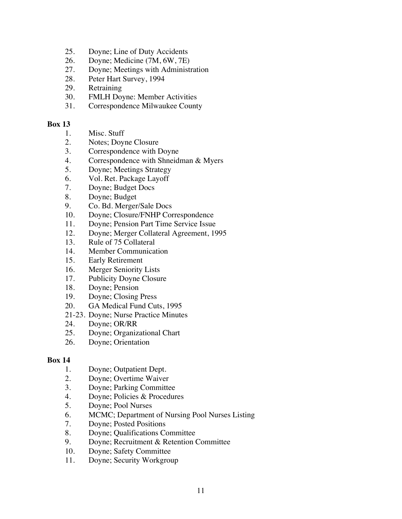- 25. Doyne; Line of Duty Accidents
- 26. Doyne; Medicine (7M, 6W, 7E)
- 27. Doyne; Meetings with Administration
- 28. Peter Hart Survey, 1994
- 29. Retraining
- 30. FMLH Doyne: Member Activities
- 31. Correspondence Milwaukee County

- 1. Misc. Stuff
- 2. Notes; Doyne Closure
- 3. Correspondence with Doyne
- 4. Correspondence with Shneidman & Myers
- 5. Doyne; Meetings Strategy
- 6. Vol. Ret. Package Layoff
- 7. Doyne; Budget Docs
- 8. Doyne; Budget
- 9. Co. Bd. Merger/Sale Docs
- 10. Doyne; Closure/FNHP Correspondence
- 11. Doyne; Pension Part Time Service Issue
- 12. Doyne; Merger Collateral Agreement, 1995
- 13. Rule of 75 Collateral
- 14. Member Communication
- 15. Early Retirement
- 16. Merger Seniority Lists
- 17. Publicity Doyne Closure
- 18. Doyne; Pension
- 19. Doyne; Closing Press
- 20. GA Medical Fund Cuts, 1995
- 21-23. Doyne; Nurse Practice Minutes
- 24. Doyne; OR/RR
- 25. Doyne; Organizational Chart
- 26. Doyne; Orientation

- 1. Doyne; Outpatient Dept.
- 2. Doyne; Overtime Waiver
- 3. Doyne; Parking Committee
- 4. Doyne; Policies & Procedures
- 5. Doyne; Pool Nurses
- 6. MCMC; Department of Nursing Pool Nurses Listing
- 7. Doyne; Posted Positions
- 8. Doyne; Qualifications Committee
- 9. Doyne; Recruitment & Retention Committee
- 10. Doyne; Safety Committee
- 11. Doyne; Security Workgroup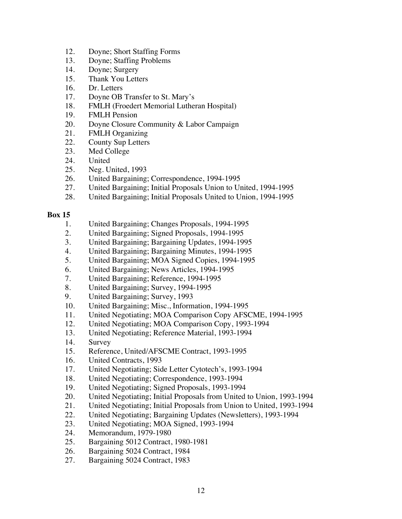- 12. Doyne; Short Staffing Forms
- 13. Doyne; Staffing Problems
- 14. Doyne; Surgery
- 15. Thank You Letters
- 16. Dr. Letters
- 17. Doyne OB Transfer to St. Mary's
- 18. FMLH (Froedert Memorial Lutheran Hospital)
- 19. FMLH Pension
- 20. Doyne Closure Community & Labor Campaign
- 21. FMLH Organizing
- 22. County Sup Letters
- 23. Med College
- 24. United
- 25. Neg. United, 1993
- 26. United Bargaining; Correspondence, 1994-1995
- 27. United Bargaining; Initial Proposals Union to United, 1994-1995
- 28. United Bargaining; Initial Proposals United to Union, 1994-1995

- 1. United Bargaining; Changes Proposals, 1994-1995
- 2. United Bargaining; Signed Proposals, 1994-1995
- 3. United Bargaining; Bargaining Updates, 1994-1995
- 4. United Bargaining; Bargaining Minutes, 1994-1995
- 5. United Bargaining; MOA Signed Copies, 1994-1995
- 6. United Bargaining; News Articles, 1994-1995
- 7. United Bargaining; Reference, 1994-1995
- 8. United Bargaining; Survey, 1994-1995
- 9. United Bargaining; Survey, 1993
- 10. United Bargaining; Misc., Information, 1994-1995
- 11. United Negotiating; MOA Comparison Copy AFSCME, 1994-1995
- 12. United Negotiating; MOA Comparison Copy, 1993-1994
- 13. United Negotiating; Reference Material, 1993-1994
- 14. Survey
- 15. Reference, United/AFSCME Contract, 1993-1995
- 16. United Contracts, 1993
- 17. United Negotiating; Side Letter Cytotech's, 1993-1994
- 18. United Negotiating; Correspondence, 1993-1994
- 19. United Negotiating; Signed Proposals, 1993-1994
- 20. United Negotiating; Initial Proposals from United to Union, 1993-1994
- 21. United Negotiating; Initial Proposals from Union to United, 1993-1994
- 22. United Negotiating; Bargaining Updates (Newsletters), 1993-1994
- 23. United Negotiating; MOA Signed, 1993-1994
- 24. Memorandum, 1979-1980
- 25. Bargaining 5012 Contract, 1980-1981
- 26. Bargaining 5024 Contract, 1984
- 27. Bargaining 5024 Contract, 1983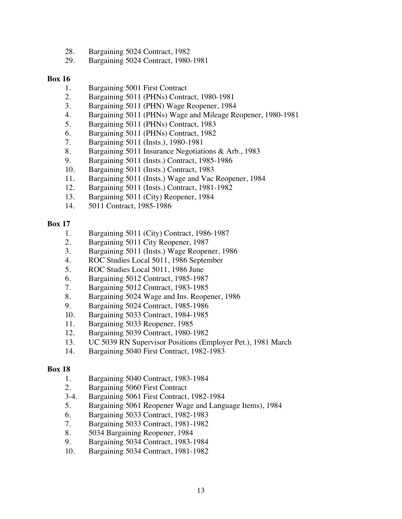- 28. Bargaining 5024 Contract, 1982
- 29. Bargaining 5024 Contract, 1980-1981

- 1. Bargaining 5001 First Contract
- 2. Bargaining 5011 (PHNs) Contract, 1980-1981
- 3. Bargaining 5011 (PHN) Wage Reopener, 1984
- 4. Bargaining 5011 (PHNs) Wage and Mileage Reopener, 1980-1981
- 5. Bargaining 5011 (PHNs) Contract, 1983
- 6. Bargaining 5011 (PHNs) Contract, 1982
- 7. Bargaining 5011 (Insts.), 1980-1981
- 8. Bargaining 5011 Insurance Negotiations & Arb., 1983
- 9. Bargaining 5011 (Insts.) Contract, 1985-1986
- 10. Bargaining 5011 (Insts.) Contract, 1983
- 11. Bargaining 5011 (Insts.) Wage and Vac Reopener, 1984
- 12. Bargaining 5011 (Insts.) Contract, 1981-1982
- 13. Bargaining 5011 (City) Reopener, 1984
- 14. 5011 Contract, 1985-1986

## **Box 17**

- 1. Bargaining 5011 (City) Contract, 1986-1987
- 2. Bargaining 5011 City Reopener, 1987
- 3. Bargaining 5011 (Insts.) Wage Reopener, 1986
- 4. ROC Studies Local 5011, 1986 September
- 5. ROC Studies Local 5011, 1986 June
- 6. Bargaining 5012 Contract, 1985-1987
- 7. Bargaining 5012 Contract, 1983-1985
- 8. Bargaining 5024 Wage and Ins. Reopener, 1986
- 9. Bargaining 5024 Contract, 1985-1986
- 10. Bargaining 5033 Contract, 1984-1985
- 11. Bargaining 5033 Reopener, 1985
- 12. Bargaining 5039 Contract, 1980-1982
- 13. UC 5039 RN Supervisor Positions (Employer Pet.), 1981 March
- 14. Bargaining 5040 First Contract, 1982-1983

- 1. Bargaining 5040 Contract, 1983-1984
- 2. Bargaining 5060 First Contract
- 3-4. Bargaining 5061 First Contract, 1982-1984
- 5. Bargaining 5061 Reopener Wage and Language Items), 1984
- 6. Bargaining 5033 Contract, 1982-1983
- 7. Bargaining 5033 Contract, 1981-1982
- 8. 5034 Bargaining Reopener, 1984
- 9. Bargaining 5034 Contract, 1983-1984
- 10. Bargaining 5034 Contract, 1981-1982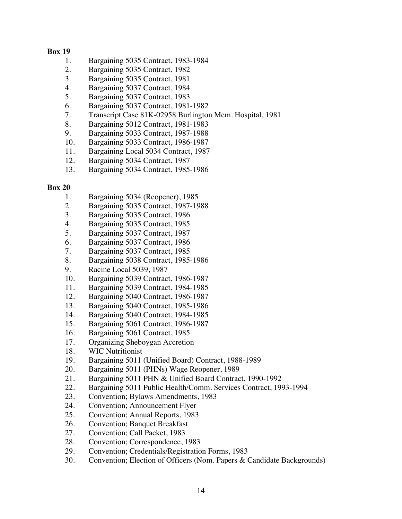- 1. Bargaining 5035 Contract, 1983-1984
- 2. Bargaining 5035 Contract, 1982
- 3. Bargaining 5035 Contract, 1981
- 4. Bargaining 5037 Contract, 1984
- 5. Bargaining 5037 Contract, 1983
- 6. Bargaining 5037 Contract, 1981-1982
- 7. Transcript Case 81K-02958 Burlington Mem. Hospital, 1981
- 8. Bargaining 5012 Contract, 1981-1983
- 9. Bargaining 5033 Contract, 1987-1988
- 10. Bargaining 5033 Contract, 1986-1987
- 11. Bargaining Local 5034 Contract, 1987
- 12. Bargaining 5034 Contract, 1987
- 13. Bargaining 5034 Contract, 1985-1986

- 1. Bargaining 5034 (Reopener), 1985
- 2. Bargaining 5035 Contract, 1987-1988
- 3. Bargaining 5035 Contract, 1986
- 4. Bargaining 5035 Contract, 1985
- 5. Bargaining 5037 Contract, 1987
- 6. Bargaining 5037 Contract, 1986
- 7. Bargaining 5037 Contract, 1985
- 8. Bargaining 5038 Contract, 1985-1986
- 9. Racine Local 5039, 1987
- 10. Bargaining 5039 Contract, 1986-1987
- 11. Bargaining 5039 Contract, 1984-1985
- 12. Bargaining 5040 Contract, 1986-1987
- 13. Bargaining 5040 Contract, 1985-1986
- 14. Bargaining 5040 Contract, 1984-1985
- 15. Bargaining 5061 Contract, 1986-1987
- 16. Bargaining 5061 Contract, 1985
- 17. Organizing Sheboygan Accretion
- 18. WIC Nutritionist
- 19. Bargaining 5011 (Unified Board) Contract, 1988-1989
- 20. Bargaining 5011 (PHNs) Wage Reopener, 1989
- 21. Bargaining 5011 PHN & Unified Board Contract, 1990-1992
- 22. Bargaining 5011 Public Health/Comm. Services Contract, 1993-1994
- 23. Convention; Bylaws Amendments, 1983
- 24. Convention; Announcement Flyer
- 25. Convention; Annual Reports, 1983
- 26. Convention; Banquet Breakfast
- 27. Convention; Call Packet, 1983
- 28. Convention; Correspondence, 1983
- 29. Convention; Credentials/Registration Forms, 1983
- 30. Convention; Election of Officers (Nom. Papers & Candidate Backgrounds)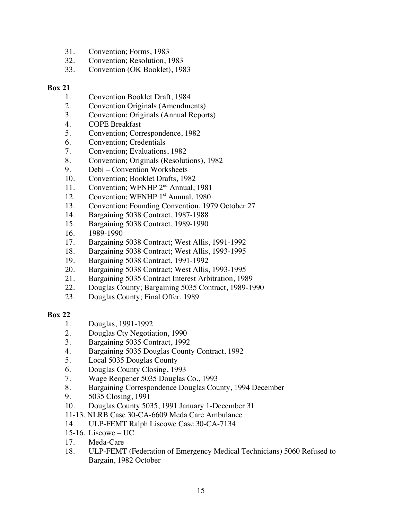- 31. Convention; Forms, 1983
- 32. Convention; Resolution, 1983
- 33. Convention (OK Booklet), 1983

- 1. Convention Booklet Draft, 1984
- 2. Convention Originals (Amendments)
- 3. Convention; Originals (Annual Reports)
- 4. COPE Breakfast
- 5. Convention; Correspondence, 1982
- 6. Convention; Credentials
- 7. Convention; Evaluations, 1982
- 8. Convention; Originals (Resolutions), 1982
- 9. Debi Convention Worksheets
- 10. Convention; Booklet Drafts, 1982
- 11. Convention; WFNHP 2<sup>nd</sup> Annual, 1981
- 12. Convention; WFNHP 1<sup>st</sup> Annual, 1980
- 13. Convention; Founding Convention, 1979 October 27
- 14. Bargaining 5038 Contract, 1987-1988
- 15. Bargaining 5038 Contract, 1989-1990
- 16. 1989-1990
- 17. Bargaining 5038 Contract; West Allis, 1991-1992
- 18. Bargaining 5038 Contract; West Allis, 1993-1995
- 19. Bargaining 5038 Contract, 1991-1992
- 20. Bargaining 5038 Contract; West Allis, 1993-1995
- 21. Bargaining 5035 Contract Interest Arbitration, 1989
- 22. Douglas County; Bargaining 5035 Contract, 1989-1990
- 23. Douglas County; Final Offer, 1989

- 1. Douglas, 1991-1992
- 2. Douglas Cty Negotiation, 1990
- 3. Bargaining 5035 Contract, 1992
- 4. Bargaining 5035 Douglas County Contract, 1992
- 5. Local 5035 Douglas County
- 6. Douglas County Closing, 1993
- 7. Wage Reopener 5035 Douglas Co., 1993
- 8. Bargaining Correspondence Douglas County, 1994 December
- 9. 5035 Closing, 1991
- 10. Douglas County 5035, 1991 January 1-December 31
- 11-13. NLRB Case 30-CA-6609 Meda Care Ambulance
- 14. ULP-FEMT Ralph Liscowe Case 30-CA-7134
- 15-16. Liscowe UC
- 17. Meda-Care
- 18. ULP-FEMT (Federation of Emergency Medical Technicians) 5060 Refused to Bargain, 1982 October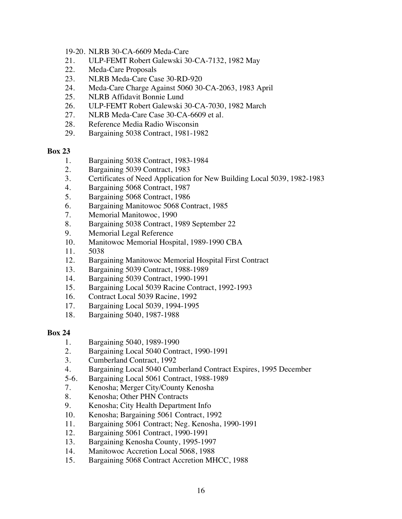- 19-20. NLRB 30-CA-6609 Meda-Care
- 21. ULP-FEMT Robert Galewski 30-CA-7132, 1982 May
- 22. Meda-Care Proposals
- 23. NLRB Meda-Care Case 30-RD-920
- 24. Meda-Care Charge Against 5060 30-CA-2063, 1983 April
- 25. NLRB Affidavit Bonnie Lund
- 26. ULP-FEMT Robert Galewski 30-CA-7030, 1982 March
- 27. NLRB Meda-Care Case 30-CA-6609 et al.
- 28. Reference Media Radio Wisconsin
- 29. Bargaining 5038 Contract, 1981-1982

- 1. Bargaining 5038 Contract, 1983-1984
- 2. Bargaining 5039 Contract, 1983
- 3. Certificates of Need Application for New Building Local 5039, 1982-1983
- 4. Bargaining 5068 Contract, 1987
- 5. Bargaining 5068 Contract, 1986
- 6. Bargaining Manitowoc 5068 Contract, 1985
- 7. Memorial Manitowoc, 1990
- 8. Bargaining 5038 Contract, 1989 September 22
- 9. Memorial Legal Reference
- 10. Manitowoc Memorial Hospital, 1989-1990 CBA
- 11. 5038
- 12. Bargaining Manitowoc Memorial Hospital First Contract
- 13. Bargaining 5039 Contract, 1988-1989
- 14. Bargaining 5039 Contract, 1990-1991
- 15. Bargaining Local 5039 Racine Contract, 1992-1993
- 16. Contract Local 5039 Racine, 1992
- 17. Bargaining Local 5039, 1994-1995
- 18. Bargaining 5040, 1987-1988

- 1. Bargaining 5040, 1989-1990
- 2. Bargaining Local 5040 Contract, 1990-1991
- 3. Cumberland Contract, 1992
- 4. Bargaining Local 5040 Cumberland Contract Expires, 1995 December
- 5-6. Bargaining Local 5061 Contract, 1988-1989
- 7. Kenosha; Merger City/County Kenosha
- 8. Kenosha; Other PHN Contracts
- 9. Kenosha; City Health Department Info
- 10. Kenosha; Bargaining 5061 Contract, 1992
- 11. Bargaining 5061 Contract; Neg. Kenosha, 1990-1991
- 12. Bargaining 5061 Contract, 1990-1991
- 13. Bargaining Kenosha County, 1995-1997
- 14. Manitowoc Accretion Local 5068, 1988
- 15. Bargaining 5068 Contract Accretion MHCC, 1988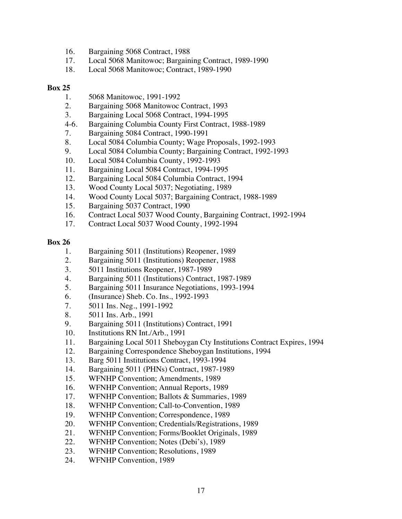- 16. Bargaining 5068 Contract, 1988
- 17. Local 5068 Manitowoc; Bargaining Contract, 1989-1990
- 18. Local 5068 Manitowoc; Contract, 1989-1990

- 1. 5068 Manitowoc, 1991-1992
- 2. Bargaining 5068 Manitowoc Contract, 1993
- 3. Bargaining Local 5068 Contract, 1994-1995
- 4-6. Bargaining Columbia County First Contract, 1988-1989
- 7. Bargaining 5084 Contract, 1990-1991
- 8. Local 5084 Columbia County; Wage Proposals, 1992-1993
- 9. Local 5084 Columbia County; Bargaining Contract, 1992-1993
- 10. Local 5084 Columbia County, 1992-1993
- 11. Bargaining Local 5084 Contract, 1994-1995
- 12. Bargaining Local 5084 Columbia Contract, 1994
- 13. Wood County Local 5037; Negotiating, 1989
- 14. Wood County Local 5037; Bargaining Contract, 1988-1989
- 15. Bargaining 5037 Contract, 1990
- 16. Contract Local 5037 Wood County, Bargaining Contract, 1992-1994
- 17. Contract Local 5037 Wood County, 1992-1994

- 1. Bargaining 5011 (Institutions) Reopener, 1989
- 2. Bargaining 5011 (Institutions) Reopener, 1988
- 3. 5011 Institutions Reopener, 1987-1989
- 4. Bargaining 5011 (Institutions) Contract, 1987-1989
- 5. Bargaining 5011 Insurance Negotiations, 1993-1994
- 6. (Insurance) Sheb. Co. Ins., 1992-1993
- 7. 5011 Ins. Neg., 1991-1992
- 8. 5011 Ins. Arb., 1991
- 9. Bargaining 5011 (Institutions) Contract, 1991
- 10. Institutions RN Int./Arb., 1991
- 11. Bargaining Local 5011 Sheboygan Cty Institutions Contract Expires, 1994
- 12. Bargaining Correspondence Sheboygan Institutions, 1994
- 13. Barg 5011 Institutions Contract, 1993-1994
- 14. Bargaining 5011 (PHNs) Contract, 1987-1989
- 15. WFNHP Convention; Amendments, 1989
- 16. WFNHP Convention; Annual Reports, 1989
- 17. WFNHP Convention; Ballots & Summaries, 1989
- 18. WFNHP Convention; Call-to-Convention, 1989
- 19. WFNHP Convention; Correspondence, 1989
- 20. WFNHP Convention; Credentials/Registrations, 1989
- 21. WFNHP Convention; Forms/Booklet Originals, 1989
- 22. WFNHP Convention; Notes (Debi's), 1989
- 23. WFNHP Convention; Resolutions, 1989
- 24. WFNHP Convention, 1989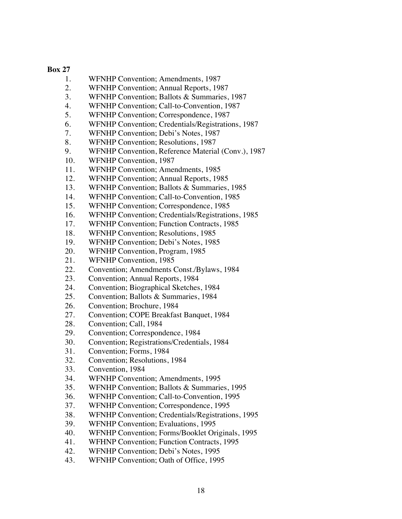- 1. WFNHP Convention; Amendments, 1987
- 2. WFNHP Convention; Annual Reports, 1987
- 3. WFNHP Convention; Ballots & Summaries, 1987
- 4. WFNHP Convention; Call-to-Convention, 1987
- 5. WFNHP Convention; Correspondence, 1987
- 6. WFNHP Convention; Credentials/Registrations, 1987
- 7. WFNHP Convention; Debi's Notes, 1987
- 8. WFNHP Convention; Resolutions, 1987
- 9. WFNHP Convention, Reference Material (Conv.), 1987
- 10. WFNHP Convention, 1987
- 11. WFNHP Convention; Amendments, 1985
- 12. WFNHP Convention; Annual Reports, 1985
- 13. WFNHP Convention; Ballots & Summaries, 1985
- 14. WFNHP Convention; Call-to-Convention, 1985
- 15. WFNHP Convention; Correspondence, 1985
- 16. WFNHP Convention; Credentials/Registrations, 1985
- 17. WFNHP Convention; Function Contracts, 1985
- 18. WFNHP Convention; Resolutions, 1985
- 19. WFNHP Convention; Debi's Notes, 1985
- 20. WFNHP Convention, Program, 1985
- 21. WFNHP Convention, 1985
- 22. Convention; Amendments Const./Bylaws, 1984
- 23. Convention; Annual Reports, 1984
- 24. Convention; Biographical Sketches, 1984
- 25. Convention; Ballots & Summaries, 1984
- 26. Convention; Brochure, 1984
- 27. Convention; COPE Breakfast Banquet, 1984
- 28. Convention; Call, 1984
- 29. Convention; Correspondence, 1984
- 30. Convention; Registrations/Credentials, 1984
- 31. Convention; Forms, 1984
- 32. Convention; Resolutions, 1984
- 33. Convention, 1984
- 34. WFNHP Convention; Amendments, 1995
- 35. WFNHP Convention; Ballots & Summaries, 1995
- 36. WFNHP Convention; Call-to-Convention, 1995
- 37. WFNHP Convention; Correspondence, 1995
- 38. WFNHP Convention; Credentials/Registrations, 1995
- 39. WFNHP Convention; Evaluations, 1995
- 40. WFNHP Convention; Forms/Booklet Originals, 1995
- 41. WFHNP Convention; Function Contracts, 1995
- 42. WFNHP Convention; Debi's Notes, 1995
- 43. WFNHP Convention; Oath of Office, 1995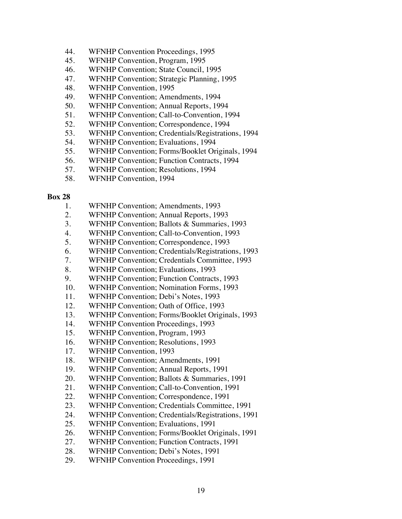- 44. WFNHP Convention Proceedings, 1995
- 45. WFNHP Convention, Program, 1995
- 46. WFNHP Convention; State Council, 1995
- 47. WFNHP Convention; Strategic Planning, 1995
- 48. WFNHP Convention, 1995
- 49. WFNHP Convention; Amendments, 1994
- 50. WFNHP Convention; Annual Reports, 1994
- 51. WFNHP Convention; Call-to-Convention, 1994
- 52. WFNHP Convention; Correspondence, 1994
- 53. WFNHP Convention; Credentials/Registrations, 1994
- 54. WFNHP Convention; Evaluations, 1994
- 55. WFNHP Convention; Forms/Booklet Originals, 1994
- 56. WFNHP Convention; Function Contracts, 1994
- 57. WFNHP Convention; Resolutions, 1994
- 58. WFNHP Convention, 1994

- 1. WFNHP Convention; Amendments, 1993
- 2. WFNHP Convention; Annual Reports, 1993
- 3. WFNHP Convention; Ballots & Summaries, 1993
- 4. WFNHP Convention; Call-to-Convention, 1993
- 5. WFNHP Convention; Correspondence, 1993
- 6. WFNHP Convention; Credentials/Registrations, 1993
- 7. WFNHP Convention; Credentials Committee, 1993
- 8. WFNHP Convention; Evaluations, 1993
- 9. WFNHP Convention; Function Contracts, 1993
- 10. WFNHP Convention; Nomination Forms, 1993
- 11. WFNHP Convention; Debi's Notes, 1993
- 12. WFNHP Convention; Oath of Office, 1993
- 13. WFNHP Convention; Forms/Booklet Originals, 1993
- 14. WFNHP Convention Proceedings, 1993
- 15. WFNHP Convention, Program, 1993
- 16. WFNHP Convention; Resolutions, 1993
- 17. WFNHP Convention, 1993
- 18. WFNHP Convention; Amendments, 1991
- 19. WFNHP Convention; Annual Reports, 1991
- 20. WFNHP Convention; Ballots & Summaries, 1991
- 21. WFNHP Convention; Call-to-Convention, 1991
- 22. WFNHP Convention; Correspondence, 1991
- 23. WFNHP Convention; Credentials Committee, 1991
- 24. WFNHP Convention; Credentials/Registrations, 1991
- 25. WFNHP Convention; Evaluations, 1991
- 26. WFNHP Convention; Forms/Booklet Originals, 1991
- 27. WFNHP Convention; Function Contracts, 1991
- 28. WFNHP Convention; Debi's Notes, 1991
- 29. WFNHP Convention Proceedings, 1991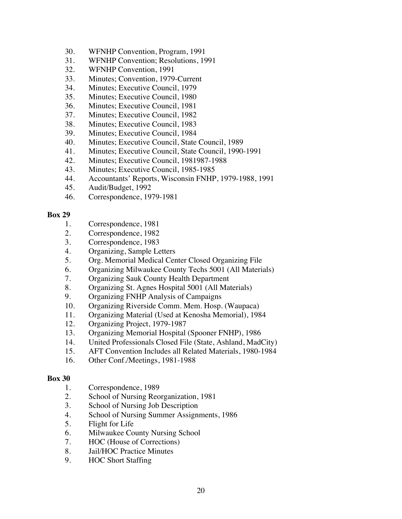- 30. WFNHP Convention, Program, 1991
- 31. WFNHP Convention; Resolutions, 1991
- 32. WFNHP Convention, 1991
- 33. Minutes; Convention, 1979-Current
- 34. Minutes; Executive Council, 1979
- 35. Minutes; Executive Council, 1980
- 36. Minutes; Executive Council, 1981
- 37. Minutes; Executive Council, 1982
- 38. Minutes; Executive Council, 1983
- 39. Minutes; Executive Council, 1984
- 40. Minutes; Executive Council, State Council, 1989
- 41. Minutes; Executive Council, State Council, 1990-1991
- 42. Minutes; Executive Council, 1981987-1988
- 43. Minutes; Executive Council, 1985-1985
- 44. Accountants' Reports, Wisconsin FNHP, 1979-1988, 1991
- 45. Audit/Budget, 1992
- 46. Correspondence, 1979-1981

- 1. Correspondence, 1981
- 2. Correspondence, 1982
- 3. Correspondence, 1983
- 4. Organizing, Sample Letters
- 5. Org. Memorial Medical Center Closed Organizing File
- 6. Organizing Milwaukee County Techs 5001 (All Materials)
- 7. Organizing Sauk County Health Department
- 8. Organizing St. Agnes Hospital 5001 (All Materials)
- 9. Organizing FNHP Analysis of Campaigns
- 10. Organizing Riverside Comm. Mem. Hosp. (Waupaca)
- 11. Organizing Material (Used at Kenosha Memorial), 1984
- 12. Organizing Project, 1979-1987
- 13. Organizing Memorial Hospital (Spooner FNHP), 1986
- 14. United Professionals Closed File (State, Ashland, MadCity)
- 15. AFT Convention Includes all Related Materials, 1980-1984
- 16. Other Conf./Meetings, 1981-1988

- 1. Correspondence, 1989
- 2. School of Nursing Reorganization, 1981
- 3. School of Nursing Job Description
- 4. School of Nursing Summer Assignments, 1986
- 5. Flight for Life
- 6. Milwaukee County Nursing School
- 7. HOC (House of Corrections)
- 8. Jail/HOC Practice Minutes
- 9. HOC Short Staffing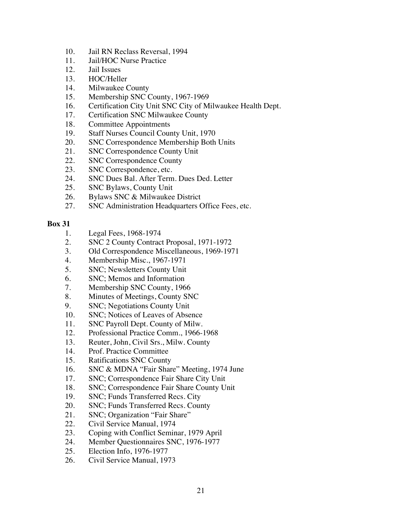- 10. Jail RN Reclass Reversal, 1994
- 11. Jail/HOC Nurse Practice
- 12. Jail Issues
- 13. HOC/Heller
- 14. Milwaukee County
- 15. Membership SNC County, 1967-1969
- 16. Certification City Unit SNC City of Milwaukee Health Dept.
- 17. Certification SNC Milwaukee County
- 18. Committee Appointments
- 19. Staff Nurses Council County Unit, 1970
- 20. SNC Correspondence Membership Both Units
- 21. SNC Correspondence County Unit
- 22. SNC Correspondence County
- 23. SNC Correspondence, etc.
- 24. SNC Dues Bal. After Term. Dues Ded. Letter
- 25. SNC Bylaws, County Unit
- 26. Bylaws SNC & Milwaukee District
- 27. SNC Administration Headquarters Office Fees, etc.

- 1. Legal Fees, 1968-1974
- 2. SNC 2 County Contract Proposal, 1971-1972
- 3. Old Correspondence Miscellaneous, 1969-1971
- 4. Membership Misc., 1967-1971
- 5. SNC; Newsletters County Unit
- 6. SNC; Memos and Information
- 7. Membership SNC County, 1966
- 8. Minutes of Meetings, County SNC
- 9. SNC; Negotiations County Unit
- 10. SNC; Notices of Leaves of Absence
- 11. SNC Payroll Dept. County of Milw.
- 12. Professional Practice Comm., 1966-1968
- 13. Reuter, John, Civil Srs., Milw. County
- 14. Prof. Practice Committee
- 15. Ratifications SNC County
- 16. SNC & MDNA "Fair Share" Meeting, 1974 June
- 17. SNC; Correspondence Fair Share City Unit
- 18. SNC; Correspondence Fair Share County Unit
- 19. SNC; Funds Transferred Recs. City
- 20. SNC; Funds Transferred Recs. County
- 21. SNC; Organization "Fair Share"
- 22. Civil Service Manual, 1974
- 23. Coping with Conflict Seminar, 1979 April
- 24. Member Questionnaires SNC, 1976-1977
- 25. Election Info, 1976-1977
- 26. Civil Service Manual, 1973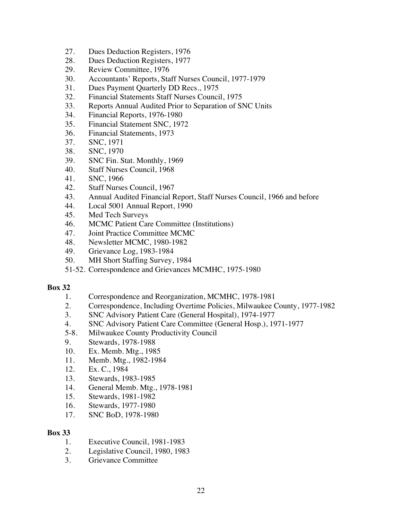- 27. Dues Deduction Registers, 1976
- 28. Dues Deduction Registers, 1977
- 29. Review Committee, 1976
- 30. Accountants' Reports, Staff Nurses Council, 1977-1979
- 31. Dues Payment Quarterly DD Recs., 1975
- 32. Financial Statements Staff Nurses Council, 1975
- 33. Reports Annual Audited Prior to Separation of SNC Units
- 34. Financial Reports, 1976-1980
- 35. Financial Statement SNC, 1972
- 36. Financial Statements, 1973
- 37. SNC, 1971
- 38. SNC, 1970
- 39. SNC Fin. Stat. Monthly, 1969
- 40. Staff Nurses Council, 1968
- 41. SNC, 1966
- 42. Staff Nurses Council, 1967
- 43. Annual Audited Financial Report, Staff Nurses Council, 1966 and before
- 44. Local 5001 Annual Report, 1990
- 45. Med Tech Surveys
- 46. MCMC Patient Care Committee (Institutions)
- 47. Joint Practice Committee MCMC
- 48. Newsletter MCMC, 1980-1982
- 49. Grievance Log, 1983-1984
- 50. MH Short Staffing Survey, 1984
- 51-52. Correspondence and Grievances MCMHC, 1975-1980

- 1. Correspondence and Reorganization, MCMHC, 1978-1981
- 2. Correspondence, Including Overtime Policies, Milwaukee County, 1977-1982
- 3. SNC Advisory Patient Care (General Hospital), 1974-1977
- 4. SNC Advisory Patient Care Committee (General Hosp.), 1971-1977
- 5-8. Milwaukee County Productivity Council
- 9. Stewards, 1978-1988
- 10. Ex. Memb. Mtg., 1985
- 11. Memb. Mtg., 1982-1984
- 12. Ex. C., 1984
- 13. Stewards, 1983-1985
- 14. General Memb. Mtg., 1978-1981
- 15. Stewards, 1981-1982
- 16. Stewards, 1977-1980
- 17. SNC BoD, 1978-1980

- 1. Executive Council, 1981-1983
- 2. Legislative Council, 1980, 1983
- 3. Grievance Committee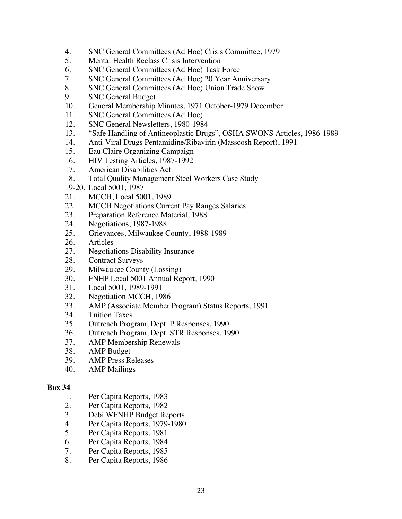- 4. SNC General Committees (Ad Hoc) Crisis Committee, 1979
- 5. Mental Health Reclass Crisis Intervention
- 6. SNC General Committees (Ad Hoc) Task Force
- 7. SNC General Committees (Ad Hoc) 20 Year Anniversary
- 8. SNC General Committees (Ad Hoc) Union Trade Show
- 9. SNC General Budget
- 10. General Membership Minutes, 1971 October-1979 December
- 11. SNC General Committees (Ad Hoc)
- 12. SNC General Newsletters, 1980-1984
- 13. "Safe Handling of Antineoplastic Drugs", OSHA SWONS Articles, 1986-1989
- 14. Anti-Viral Drugs Pentamidine/Ribavirin (Masscosh Report), 1991
- 15. Eau Claire Organizing Campaign
- 16. HIV Testing Articles, 1987-1992
- 17. American Disabilities Act
- 18. Total Quality Management Steel Workers Case Study
- 19-20. Local 5001, 1987
- 21. MCCH, Local 5001, 1989
- 22. MCCH Negotiations Current Pay Ranges Salaries
- 23. Preparation Reference Material, 1988
- 24. Negotiations, 1987-1988
- 25. Grievances, Milwaukee County, 1988-1989
- 26. Articles
- 27. Negotiations Disability Insurance
- 28. Contract Surveys
- 29. Milwaukee County (Lossing)
- 30. FNHP Local 5001 Annual Report, 1990
- 31. Local 5001, 1989-1991
- 32. Negotiation MCCH, 1986
- 33. AMP (Associate Member Program) Status Reports, 1991
- 34. Tuition Taxes
- 35. Outreach Program, Dept. P Responses, 1990
- 36. Outreach Program, Dept. STR Responses, 1990
- 37. AMP Membership Renewals
- 38. AMP Budget
- 39. AMP Press Releases
- 40. AMP Mailings

- 1. Per Capita Reports, 1983
- 2. Per Capita Reports, 1982
- 3. Debi WFNHP Budget Reports
- 4. Per Capita Reports, 1979-1980
- 5. Per Capita Reports, 1981
- 6. Per Capita Reports, 1984
- 7. Per Capita Reports, 1985
- 8. Per Capita Reports, 1986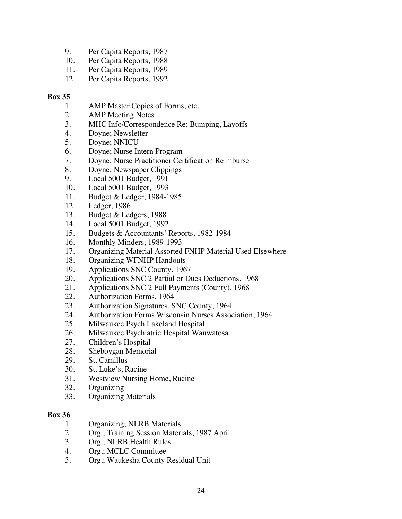- 9. Per Capita Reports, 1987
- 10. Per Capita Reports, 1988
- 11. Per Capita Reports, 1989
- 12. Per Capita Reports, 1992

- 1. AMP Master Copies of Forms, etc.
- 2. AMP Meeting Notes
- 3. MHC Info/Correspondence Re: Bumping, Layoffs
- 4. Doyne; Newsletter
- 5. Doyne; NNICU
- 6. Doyne; Nurse Intern Program
- 7. Doyne; Nurse Practitioner Certification Reimburse
- 8. Doyne; Newspaper Clippings
- 9. Local 5001 Budget, 1991
- 10. Local 5001 Budget, 1993
- 11. Budget & Ledger, 1984-1985
- 12. Ledger, 1986
- 13. Budget & Ledgers, 1988
- 14. Local 5001 Budget, 1992
- 15. Budgets & Accountants' Reports, 1982-1984
- 16. Monthly Minders, 1989-1993
- 17. Organizing Material Assorted FNHP Material Used Elsewhere
- 18. Organizing WFNHP Handouts
- 19. Applications SNC County, 1967
- 20. Applications SNC 2 Partial or Dues Deductions, 1968
- 21. Applications SNC 2 Full Payments (County), 1968
- 22. Authorization Forms, 1964
- 23. Authorization Signatures, SNC County, 1964
- 24. Authorization Forms Wisconsin Nurses Association, 1964
- 25. Milwaukee Psych Lakeland Hospital
- 26. Milwaukee Psychiatric Hospital Wauwatosa
- 27. Children's Hospital
- 28. Sheboygan Memorial
- 29. St. Camillus
- 30. St. Luke's, Racine
- 31. Westview Nursing Home, Racine
- 32. Organizing
- 33. Organizing Materials

- 1. Organizing; NLRB Materials
- 2. Org.; Training Session Materials, 1987 April
- 3. Org.; NLRB Health Rules
- 4. Org.; MCLC Committee
- 5. Org.; Waukesha County Residual Unit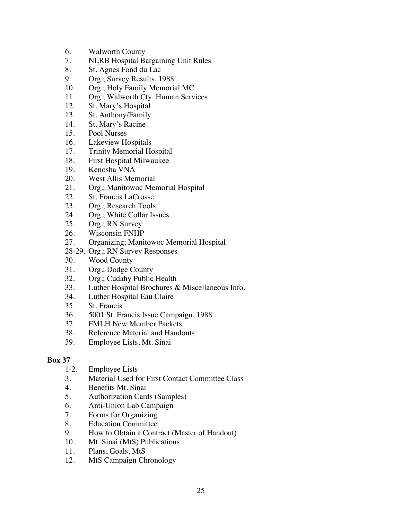- 6. Walworth County
- 7. NLRB Hospital Bargaining Unit Rules
- 8. St. Agnes Fond du Lac
- 9. Org.; Survey Results, 1988
- 10. Org.; Holy Family Memorial MC
- 11. Org.; Walworth Cty. Human Services
- 12. St. Mary's Hospital
- 13. St. Anthony/Family
- 14. St. Mary's Racine
- 15. Pool Nurses
- 16. Lakeview Hospitals
- 17. Trinity Memorial Hospital
- 18. First Hospital Milwaukee
- 19. Kenosha VNA
- 20. West Allis Memorial
- 21. Org.; Manitowoc Memorial Hospital
- 22. St. Francis LaCrosse
- 23. Org.; Research Tools
- 24. Org.; White Collar Issues
- 25. Org.; RN Survey
- 26. Wisconsin FNHP
- 27. Organizing; Manitowoc Memorial Hospital
- 28-29. Org.; RN Survey Responses
- 30. Wood County
- 31. Org.; Dodge County
- 32. Org.; Cudahy Public Health
- 33. Luther Hospital Brochures & Miscellaneous Info.
- 34. Luther Hospital Eau Claire
- 35. St. Francis
- 36. 5001 St. Francis Issue Campaign, 1988
- 37. FMLH New Member Packets
- 38. Reference Material and Handouts
- 39. Employee Lists, Mt. Sinai

- 1-2. Employee Lists
- 3. Material Used for First Contact Committee Class
- 4. Benefits Mt. Sinai
- 5. Authorization Cards (Samples)
- 6. Anti-Union Lab Campaign
- 7. Forms for Organizing
- 8. Education Committee
- 9. How to Obtain a Contract (Master of Handout)
- 10. Mt. Sinai (MtS) Publications
- 11. Plans, Goals, MtS
- 12. MtS Campaign Chronology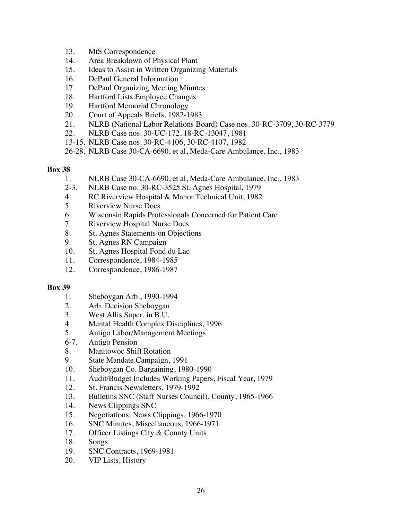- 13. MtS Correspondence
- 14. Area Breakdown of Physical Plant
- 15. Ideas to Assist in Written Organizing Materials
- 16. DePaul General Information
- 17. DePaul Organizing Meeting Minutes
- 18. Hartford Lists Employee Changes
- 19. Hartford Memorial Chronology
- 20. Court of Appeals Briefs, 1982-1983
- 21. NLRB (National Labor Relations Board) Case nos. 30-RC-3709, 30-RC-3779
- 22. NLRB Case nos. 30-UC-172, 18-RC-13047, 1981
- 13-15. NLRB Case nos. 30-RC-4106, 30-RC-4107, 1982
- 26-28. NLRB Case 30-CA-6690, et al, Meda-Care Ambulance, Inc., 1983

- 1. NLRB Case 30-CA-6690, et al, Meda-Care Ambulance, Inc., 1983
- 2-3. NLRB Case no. 30-RC-3525 St. Agnes Hospital, 1979
- 4. RC Riverview Hospital & Manor Technical Unit, 1982
- 5. Riverview Nurse Docs
- 6. Wisconsin Rapids Professionals Concerned for Patient Care
- 7. Riverview Hospital Nurse Docs
- 8. St. Agnes Statements on Objections
- 9. St. Agnes RN Campaign
- 10. St. Agnes Hospital Fond du Lac
- 11. Correspondence, 1984-1985
- 12. Correspondence, 1986-1987

- 1. Sheboygan Arb., 1990-1994
- 2. Arb. Decision Sheboygan
- 3. West Allis Super. in B.U.
- 4. Mental Health Complex Disciplines, 1996
- 5. Antigo Labor/Management Meetings
- 6-7. Antigo Pension
- 8. Manitowoc Shift Rotation
- 9. State Mandate Campaign, 1991
- 10. Sheboygan Co. Bargaining, 1980-1990
- 11. Audit/Budget Includes Working Papers, Fiscal Year, 1979
- 12. St. Francis Newsletters, 1979-1992
- 13. Bulletins SNC (Staff Nurses Council), County, 1965-1966
- 14. News Clippings SNC
- 15. Negotiations; News Clippings, 1966-1970
- 16. SNC Minutes, Miscellaneous, 1966-1971
- 17. Officer Listings City & County Units
- 18. Songs
- 19. SNC Contracts, 1969-1981
- 20. VIP Lists, History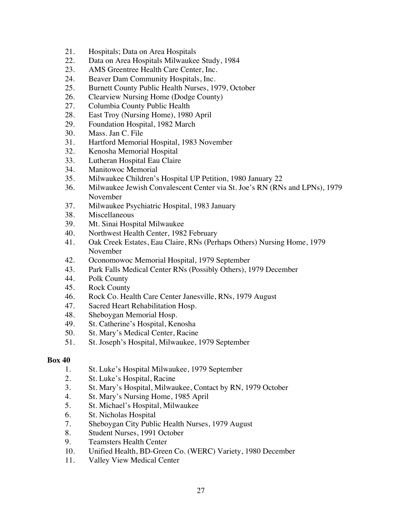- 21. Hospitals; Data on Area Hospitals
- 22. Data on Area Hospitals Milwaukee Study, 1984
- 23. AMS Greentree Health Care Center, Inc.
- 24. Beaver Dam Community Hospitals, Inc.
- 25. Burnett County Public Health Nurses, 1979, October
- 26. Clearview Nursing Home (Dodge County)
- 27. Columbia County Public Health
- 28. East Troy (Nursing Home), 1980 April
- 29. Foundation Hospital, 1982 March
- 30. Mass. Jan C. File
- 31. Hartford Memorial Hospital, 1983 November
- 32. Kenosha Memorial Hospital
- 33. Lutheran Hospital Eau Claire
- 34. Manitowoc Memorial
- 35. Milwaukee Children's Hospital UP Petition, 1980 January 22
- 36. Milwaukee Jewish Convalescent Center via St. Joe's RN (RNs and LPNs), 1979 November
- 37. Milwaukee Psychiatric Hospital, 1983 January
- 38. Miscellaneous
- 39. Mt. Sinai Hospital Milwaukee
- 40. Northwest Health Center, 1982 February
- 41. Oak Creek Estates, Eau Claire, RNs (Perhaps Others) Nursing Home, 1979 November
- 42. Oconomowoc Memorial Hospital, 1979 September
- 43. Park Falls Medical Center RNs (Possibly Others), 1979 December
- 44. Polk County
- 45. Rock County
- 46. Rock Co. Health Care Center Janesville, RNs, 1979 August
- 47. Sacred Heart Rehabilitation Hosp.
- 48. Sheboygan Memorial Hosp.
- 49. St. Catherine's Hospital, Kenosha
- 50. St. Mary's Medical Center, Racine
- 51. St. Joseph's Hospital, Milwaukee, 1979 September

- 1. St. Luke's Hospital Milwaukee, 1979 September
- 2. St. Luke's Hospital, Racine
- 3. St. Mary's Hospital, Milwaukee, Contact by RN, 1979 October
- 4. St. Mary's Nursing Home, 1985 April
- 5. St. Michael's Hospital, Milwaukee
- 6. St. Nicholas Hospital
- 7. Sheboygan City Public Health Nurses, 1979 August
- 8. Student Nurses, 1991 October
- 9. Teamsters Health Center
- 10. Unified Health, BD-Green Co. (WERC) Variety, 1980 December
- 11. Valley View Medical Center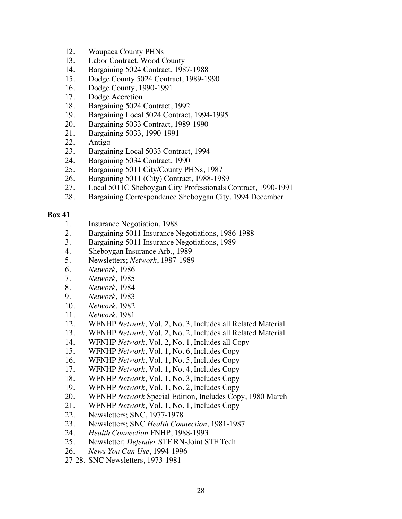- 12. Waupaca County PHNs
- 13. Labor Contract, Wood County
- 14. Bargaining 5024 Contract, 1987-1988
- 15. Dodge County 5024 Contract, 1989-1990
- 16. Dodge County, 1990-1991
- 17. Dodge Accretion
- 18. Bargaining 5024 Contract, 1992
- 19. Bargaining Local 5024 Contract, 1994-1995
- 20. Bargaining 5033 Contract, 1989-1990
- 21. Bargaining 5033, 1990-1991
- 22. Antigo
- 23. Bargaining Local 5033 Contract, 1994
- 24. Bargaining 5034 Contract, 1990
- 25. Bargaining 5011 City/County PHNs, 1987
- 26. Bargaining 5011 (City) Contract, 1988-1989
- 27. Local 5011C Sheboygan City Professionals Contract, 1990-1991
- 28. Bargaining Correspondence Sheboygan City, 1994 December

- 1. Insurance Negotiation, 1988
- 2. Bargaining 5011 Insurance Negotiations, 1986-1988
- 3. Bargaining 5011 Insurance Negotiations, 1989
- 4. Sheboygan Insurance Arb., 1989
- 5. Newsletters; *Network*, 1987-1989
- 6. *Network*, 1986
- 7. *Network*, 1985
- 8. *Network*, 1984
- 9. *Network*, 1983
- 10. *Network*, 1982
- 11. *Network*, 1981
- 12. WFNHP *Network*, Vol. 2, No. 3, Includes all Related Material
- 13. WFNHP *Network*, Vol. 2, No. 2, Includes all Related Material
- 14. WFNHP *Network*, Vol. 2, No. 1, Includes all Copy
- 15. WFNHP *Network*, Vol. 1, No. 6, Includes Copy
- 16. WFNHP *Network*, Vol. 1, No. 5, Includes Copy
- 17. WFNHP *Network*, Vol. 1, No. 4, Includes Copy
- 18. WFNHP *Network*, Vol. 1, No. 3, Includes Copy
- 19. WFNHP *Network*, Vol. 1, No. 2, Includes Copy
- 20. WFNHP *Network* Special Edition, Includes Copy, 1980 March
- 21. WFNHP *Network*, Vol. 1, No. 1, Includes Copy
- 22. Newsletters; SNC, 1977-1978
- 23. Newsletters; SNC *Health Connection*, 1981-1987
- 24. *Health Connection* FNHP, 1988-1993
- 25. Newsletter; *Defender* STF RN-Joint STF Tech
- 26. *News You Can Use*, 1994-1996
- 27-28. SNC Newsletters, 1973-1981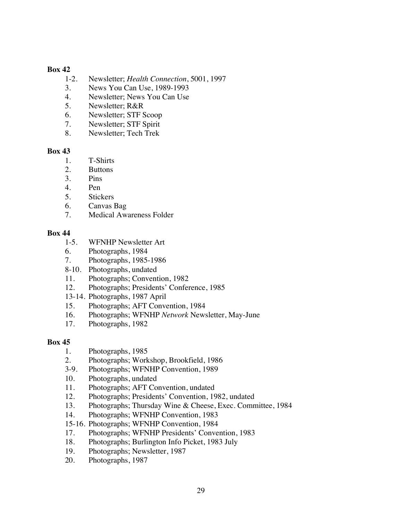- 1-2. Newsletter; *Health Connection*, 5001, 1997
- 3. News You Can Use, 1989-1993
- 4. Newsletter; News You Can Use
- 5. Newsletter; R&R
- 6. Newsletter; STF Scoop
- 7. Newsletter; STF Spirit
- 8. Newsletter; Tech Trek

## **Box 43**

- 1. T-Shirts
- 2. Buttons
- 3. Pins
- 4. Pen
- 5. Stickers
- 6. Canvas Bag
- 7. Medical Awareness Folder

## **Box 44**

- 1-5. WFNHP Newsletter Art
- 6. Photographs, 1984
- 7. Photographs, 1985-1986
- 8-10. Photographs, undated
- 11. Photographs; Convention, 1982
- 12. Photographs; Presidents' Conference, 1985
- 13-14. Photographs, 1987 April
- 15. Photographs; AFT Convention, 1984
- 16. Photographs; WFNHP *Network* Newsletter, May-June
- 17. Photographs, 1982

- 1. Photographs, 1985
- 2. Photographs; Workshop, Brookfield, 1986
- 3-9. Photographs; WFNHP Convention, 1989
- 10. Photographs, undated
- 11. Photographs; AFT Convention, undated
- 12. Photographs; Presidents' Convention, 1982, undated
- 13. Photographs; Thursday Wine & Cheese, Exec. Committee, 1984
- 14. Photographs; WFNHP Convention, 1983
- 15-16. Photographs; WFNHP Convention, 1984
- 17. Photographs; WFNHP Presidents' Convention, 1983
- 18. Photographs; Burlington Info Picket, 1983 July
- 19. Photographs; Newsletter, 1987
- 20. Photographs, 1987